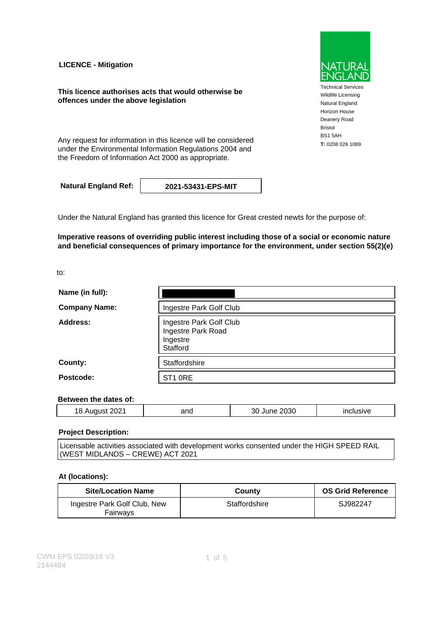**LICENCE - Mitigation**

**This licence authorises acts that would otherwise be offences under the above legislation**

Any request for information in this licence will be considered **T**: 0208 026 1089 under the Environmental Information Regulations 2004 and the Freedom of Information Act 2000 as appropriate.

**Natural England Ref: 2021-53431-EPS-MIT**

Under the Natural England has granted this licence for Great crested newts for the purpose of:

**Imperative reasons of overriding public interest including those of a social or economic nature and beneficial consequences of primary importance for the environment, under section 55(2)(e)**

to:

| Name (in full):      |                                                                       |
|----------------------|-----------------------------------------------------------------------|
| <b>Company Name:</b> | Ingestre Park Golf Club                                               |
| Address:             | Ingestre Park Golf Club<br>Ingestre Park Road<br>Ingestre<br>Stafford |
| County:              | Staffordshire                                                         |
| Postcode:            | ST <sub>1</sub> ORE                                                   |

### **Between the dates of:**

| $\overline{\phantom{a}}$<br>8<br>$   -$ | and<br>$\sim$ $\sim$ | $\sim$ $\sim$ $\sim$<br>J.3O<br>รเ<br>- - - | .<br>$\mathbf{u}$<br>____ |
|-----------------------------------------|----------------------|---------------------------------------------|---------------------------|
|                                         |                      |                                             |                           |

### **Project Description:**

Licensable activities associated with development works consented under the HIGH SPEED RAIL (WEST MIDLANDS – CREWE) ACT 2021

#### **At (locations):**

| <b>Site/Location Name</b>                | County        | <b>OS Grid Reference</b> |
|------------------------------------------|---------------|--------------------------|
| Ingestre Park Golf Club, New<br>Fairwavs | Staffordshire | SJ982247                 |



Technical Services Wildlife Licensing Natural England Horizon House Deanery Road Bristol BS1 5AH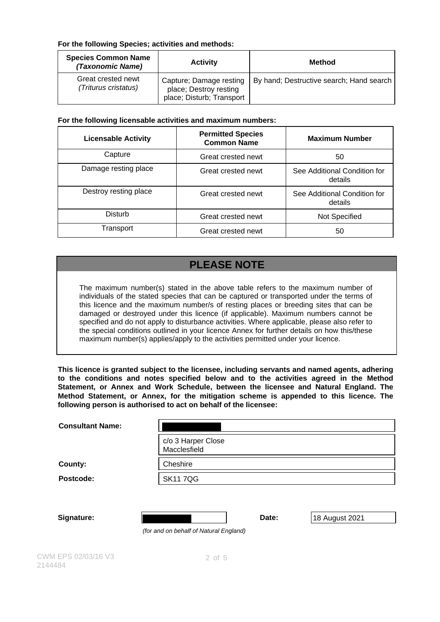### **For the following Species; activities and methods:**

| <b>Species Common Name</b><br>(Taxonomic Name) | <b>Activity</b>                                                                | Method                                   |
|------------------------------------------------|--------------------------------------------------------------------------------|------------------------------------------|
| Great crested newt<br>(Triturus cristatus)     | Capture; Damage resting<br>place; Destroy resting<br>place; Disturb; Transport | By hand; Destructive search; Hand search |

### **For the following licensable activities and maximum numbers:**

| <b>Licensable Activity</b> | <b>Permitted Species</b><br><b>Common Name</b> | <b>Maximum Number</b>                   |
|----------------------------|------------------------------------------------|-----------------------------------------|
| Capture                    | Great crested newt                             | 50                                      |
| Damage resting place       | Great crested newt                             | See Additional Condition for<br>details |
| Destroy resting place      | Great crested newt                             | See Additional Condition for<br>details |
| <b>Disturb</b>             | Great crested newt                             | Not Specified                           |
| Transport                  | Great crested newt                             | 50                                      |

# **PLEASE NOTE**

The maximum number(s) stated in the above table refers to the maximum number of individuals of the stated species that can be captured or transported under the terms of this licence and the maximum number/s of resting places or breeding sites that can be damaged or destroyed under this licence (if applicable). Maximum numbers cannot be specified and do not apply to disturbance activities. Where applicable, please also refer to the special conditions outlined in your licence Annex for further details on how this/these maximum number(s) applies/apply to the activities permitted under your licence.

**This licence is granted subject to the licensee, including servants and named agents, adhering to the conditions and notes specified below and to the activities agreed in the Method Statement, or Annex and Work Schedule, between the licensee and Natural England. The Method Statement, or Annex, for the mitigation scheme is appended to this licence. The following person is authorised to act on behalf of the licensee:**

| <b>Consultant Name:</b> |                                        |
|-------------------------|----------------------------------------|
|                         | c/o 3 Harper Close<br>Macclesfield     |
| County:                 | Cheshire                               |
| Postcode:               | <b>SK117QG</b>                         |
| Signature:              | Date:<br>18 August 2021                |
|                         | (for and on behalf of Natural England) |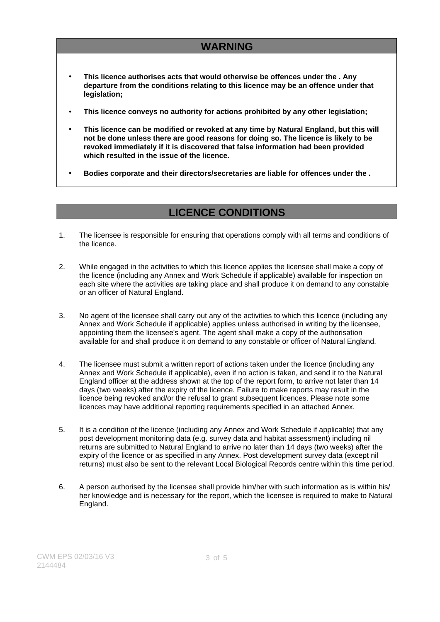## **WARNING**

- **This licence authorises acts that would otherwise be offences under the . Any departure from the conditions relating to this licence may be an offence under that legislation;**
- **This licence conveys no authority for actions prohibited by any other legislation;**
- **This licence can be modified or revoked at any time by Natural England, but this will not be done unless there are good reasons for doing so. The licence is likely to be revoked immediately if it is discovered that false information had been provided which resulted in the issue of the licence.**
- **Bodies corporate and their directors/secretaries are liable for offences under the .**

### **LICENCE CONDITIONS**

- 1. The licensee is responsible for ensuring that operations comply with all terms and conditions of the licence.
- 2. While engaged in the activities to which this licence applies the licensee shall make a copy of the licence (including any Annex and Work Schedule if applicable) available for inspection on each site where the activities are taking place and shall produce it on demand to any constable or an officer of Natural England.
- 3. No agent of the licensee shall carry out any of the activities to which this licence (including any Annex and Work Schedule if applicable) applies unless authorised in writing by the licensee, appointing them the licensee's agent. The agent shall make a copy of the authorisation available for and shall produce it on demand to any constable or officer of Natural England.
- 4. The licensee must submit a written report of actions taken under the licence (including any Annex and Work Schedule if applicable), even if no action is taken, and send it to the Natural England officer at the address shown at the top of the report form, to arrive not later than 14 days (two weeks) after the expiry of the licence. Failure to make reports may result in the licence being revoked and/or the refusal to grant subsequent licences. Please note some licences may have additional reporting requirements specified in an attached Annex.
- 5. It is a condition of the licence (including any Annex and Work Schedule if applicable) that any post development monitoring data (e.g. survey data and habitat assessment) including nil returns are submitted to Natural England to arrive no later than 14 days (two weeks) after the expiry of the licence or as specified in any Annex. Post development survey data (except nil returns) must also be sent to the relevant Local Biological Records centre within this time period.
- 6. A person authorised by the licensee shall provide him/her with such information as is within his/ her knowledge and is necessary for the report, which the licensee is required to make to Natural England.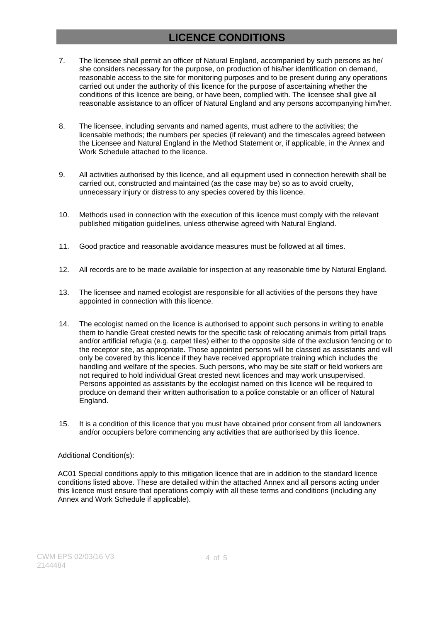# **LICENCE CONDITIONS**

- 7. The licensee shall permit an officer of Natural England, accompanied by such persons as he/ she considers necessary for the purpose, on production of his/her identification on demand, reasonable access to the site for monitoring purposes and to be present during any operations carried out under the authority of this licence for the purpose of ascertaining whether the conditions of this licence are being, or have been, complied with. The licensee shall give all reasonable assistance to an officer of Natural England and any persons accompanying him/her.
- 8. The licensee, including servants and named agents, must adhere to the activities; the licensable methods; the numbers per species (if relevant) and the timescales agreed between the Licensee and Natural England in the Method Statement or, if applicable, in the Annex and Work Schedule attached to the licence.
- 9. All activities authorised by this licence, and all equipment used in connection herewith shall be carried out, constructed and maintained (as the case may be) so as to avoid cruelty, unnecessary injury or distress to any species covered by this licence.
- 10. Methods used in connection with the execution of this licence must comply with the relevant published mitigation guidelines, unless otherwise agreed with Natural England.
- 11. Good practice and reasonable avoidance measures must be followed at all times.
- 12. All records are to be made available for inspection at any reasonable time by Natural England.
- 13. The licensee and named ecologist are responsible for all activities of the persons they have appointed in connection with this licence.
- 14. The ecologist named on the licence is authorised to appoint such persons in writing to enable them to handle Great crested newts for the specific task of relocating animals from pitfall traps and/or artificial refugia (e.g. carpet tiles) either to the opposite side of the exclusion fencing or to the receptor site, as appropriate. Those appointed persons will be classed as assistants and will only be covered by this licence if they have received appropriate training which includes the handling and welfare of the species. Such persons, who may be site staff or field workers are not required to hold individual Great crested newt licences and may work unsupervised. Persons appointed as assistants by the ecologist named on this licence will be required to produce on demand their written authorisation to a police constable or an officer of Natural England.
- 15. It is a condition of this licence that you must have obtained prior consent from all landowners and/or occupiers before commencing any activities that are authorised by this licence.

#### Additional Condition(s):

AC01 Special conditions apply to this mitigation licence that are in addition to the standard licence conditions listed above. These are detailed within the attached Annex and all persons acting under this licence must ensure that operations comply with all these terms and conditions (including any Annex and Work Schedule if applicable).